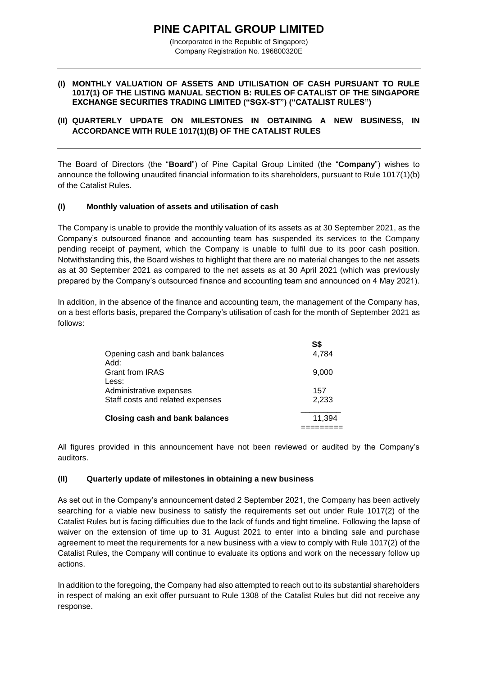# **PINE CAPITAL GROUP LIMITED**

(Incorporated in the Republic of Singapore) Company Registration No. 196800320E

#### **(I) MONTHLY VALUATION OF ASSETS AND UTILISATION OF CASH PURSUANT TO RULE 1017(1) OF THE LISTING MANUAL SECTION B: RULES OF CATALIST OF THE SINGAPORE EXCHANGE SECURITIES TRADING LIMITED ("SGX-ST") ("CATALIST RULES")**

## **(II) QUARTERLY UPDATE ON MILESTONES IN OBTAINING A NEW BUSINESS, IN ACCORDANCE WITH RULE 1017(1)(B) OF THE CATALIST RULES**

The Board of Directors (the "**Board**") of Pine Capital Group Limited (the "**Company**") wishes to announce the following unaudited financial information to its shareholders, pursuant to Rule 1017(1)(b) of the Catalist Rules.

## **(I) Monthly valuation of assets and utilisation of cash**

The Company is unable to provide the monthly valuation of its assets as at 30 September 2021, as the Company's outsourced finance and accounting team has suspended its services to the Company pending receipt of payment, which the Company is unable to fulfil due to its poor cash position. Notwithstanding this, the Board wishes to highlight that there are no material changes to the net assets as at 30 September 2021 as compared to the net assets as at 30 April 2021 (which was previously prepared by the Company's outsourced finance and accounting team and announced on 4 May 2021).

In addition, in the absence of the finance and accounting team, the management of the Company has, on a best efforts basis, prepared the Company's utilisation of cash for the month of September 2021 as follows:

| Opening cash and bank balances        | S\$    |
|---------------------------------------|--------|
| Add:                                  | 4,784  |
| <b>Grant from IRAS</b><br>Less:       | 9,000  |
| Administrative expenses               | 157    |
| Staff costs and related expenses      | 2,233  |
| <b>Closing cash and bank balances</b> | 11.394 |

All figures provided in this announcement have not been reviewed or audited by the Company's auditors.

#### **(II) Quarterly update of milestones in obtaining a new business**

As set out in the Company's announcement dated 2 September 2021, the Company has been actively searching for a viable new business to satisfy the requirements set out under Rule 1017(2) of the Catalist Rules but is facing difficulties due to the lack of funds and tight timeline. Following the lapse of waiver on the extension of time up to 31 August 2021 to enter into a binding sale and purchase agreement to meet the requirements for a new business with a view to comply with Rule 1017(2) of the Catalist Rules, the Company will continue to evaluate its options and work on the necessary follow up actions.

In addition to the foregoing, the Company had also attempted to reach out to its substantial shareholders in respect of making an exit offer pursuant to Rule 1308 of the Catalist Rules but did not receive any response.